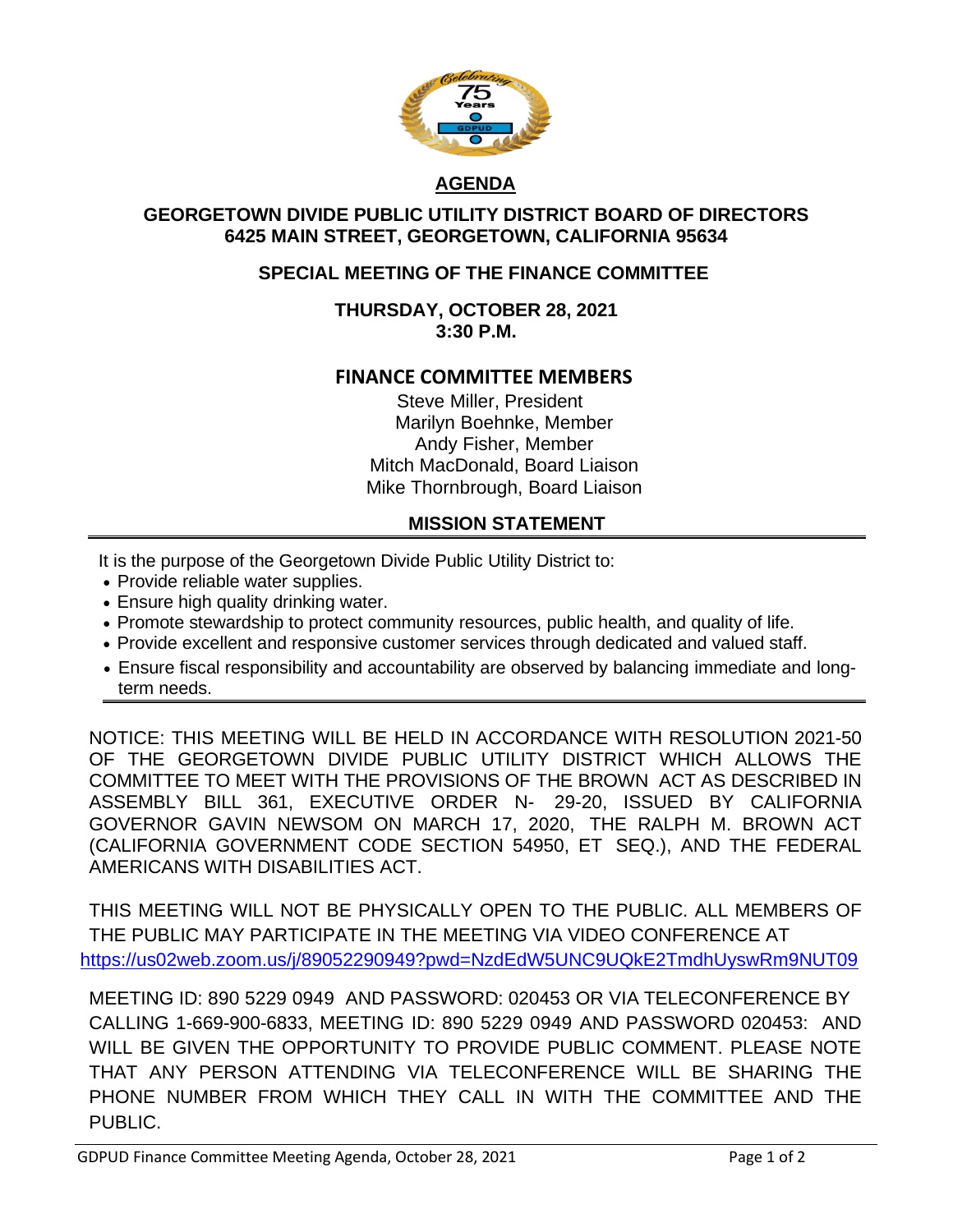

## **AGENDA**

### **GEORGETOWN DIVIDE PUBLIC UTILITY DISTRICT BOARD OF DIRECTORS 6425 MAIN STREET, GEORGETOWN, CALIFORNIA 95634**

## **SPECIAL MEETING OF THE FINANCE COMMITTEE**

### **THURSDAY, OCTOBER 28, 2021 3:30 P.M.**

### **FINANCE COMMITTEE MEMBERS**

Steve Miller, President Marilyn Boehnke, Member Andy Fisher, Member Mitch MacDonald, Board Liaison Mike Thornbrough, Board Liaison

### **MISSION STATEMENT**

It is the purpose of the Georgetown Divide Public Utility District to:

- Provide reliable water supplies.
- Ensure high quality drinking water.
- Promote stewardship to protect community resources, public health, and quality of life.
- Provide excellent and responsive customer services through dedicated and valued staff.
- Ensure fiscal responsibility and accountability are observed by balancing immediate and longterm needs.

NOTICE: THIS MEETING WILL BE HELD IN ACCORDANCE WITH RESOLUTION 2021-50 OF THE GEORGETOWN DIVIDE PUBLIC UTILITY DISTRICT WHICH ALLOWS THE COMMITTEE TO MEET WITH THE PROVISIONS OF THE BROWN ACT AS DESCRIBED IN ASSEMBLY BILL 361, EXECUTIVE ORDER N- 29-20, ISSUED BY CALIFORNIA GOVERNOR GAVIN NEWSOM ON MARCH 17, 2020, THE RALPH M. BROWN ACT (CALIFORNIA GOVERNMENT CODE SECTION 54950, ET SEQ.), AND THE FEDERAL AMERICANS WITH DISABILITIES ACT.

THIS MEETING WILL NOT BE PHYSICALLY OPEN TO THE PUBLIC. ALL MEMBERS OF THE PUBLIC MAY PARTICIPATE IN THE MEETING VIA VIDEO CONFERENCE AT <https://us02web.zoom.us/j/89052290949?pwd=NzdEdW5UNC9UQkE2TmdhUyswRm9NUT09>

MEETING ID: 890 5229 0949 AND PASSWORD: 020453 OR VIA TELECONFERENCE BY CALLING 1-669-900-6833, MEETING ID: 890 5229 0949 AND PASSWORD 020453: AND WILL BE GIVEN THE OPPORTUNITY TO PROVIDE PUBLIC COMMENT. PLEASE NOTE THAT ANY PERSON ATTENDING VIA TELECONFERENCE WILL BE SHARING THE PHONE NUMBER FROM WHICH THEY CALL IN WITH THE COMMITTEE AND THE PUBLIC.